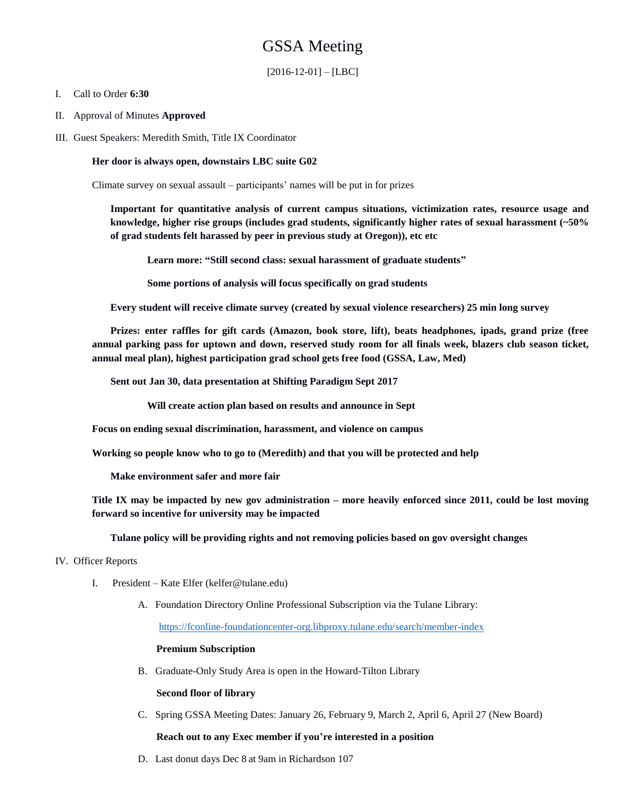# GSSA Meeting

 $[2016-12-01] - [LBC]$ 

# I. Call to Order **6:30**

II. Approval of Minutes **Approved**

III. Guest Speakers: Meredith Smith, Title IX Coordinator

# **Her door is always open, downstairs LBC suite G02**

Climate survey on sexual assault – participants' names will be put in for prizes

**Important for quantitative analysis of current campus situations, victimization rates, resource usage and knowledge, higher rise groups (includes grad students, significantly higher rates of sexual harassment (~50% of grad students felt harassed by peer in previous study at Oregon)), etc etc**

**Learn more: "Still second class: sexual harassment of graduate students"**

**Some portions of analysis will focus specifically on grad students**

**Every student will receive climate survey (created by sexual violence researchers) 25 min long survey**

**Prizes: enter raffles for gift cards (Amazon, book store, lift), beats headphones, ipads, grand prize (free annual parking pass for uptown and down, reserved study room for all finals week, blazers club season ticket, annual meal plan), highest participation grad school gets free food (GSSA, Law, Med)**

**Sent out Jan 30, data presentation at Shifting Paradigm Sept 2017** 

**Will create action plan based on results and announce in Sept** 

**Focus on ending sexual discrimination, harassment, and violence on campus**

**Working so people know who to go to (Meredith) and that you will be protected and help**

**Make environment safer and more fair**

**Title IX may be impacted by new gov administration – more heavily enforced since 2011, could be lost moving forward so incentive for university may be impacted**

**Tulane policy will be providing rights and not removing policies based on gov oversight changes**

# IV. Officer Reports

- I. President Kate Elfer (kelfer@tulane.edu)
	- A. Foundation Directory Online Professional Subscription via the Tulane Library:

<https://fconline-foundationcenter-org.libproxy.tulane.edu/search/member-index>

## **Premium Subscription**

B. Graduate-Only Study Area is open in the Howard-Tilton Library

**Second floor of library**

C. Spring GSSA Meeting Dates: January 26, February 9, March 2, April 6, April 27 (New Board)

# **Reach out to any Exec member if you're interested in a position**

D. Last donut days Dec 8 at 9am in Richardson 107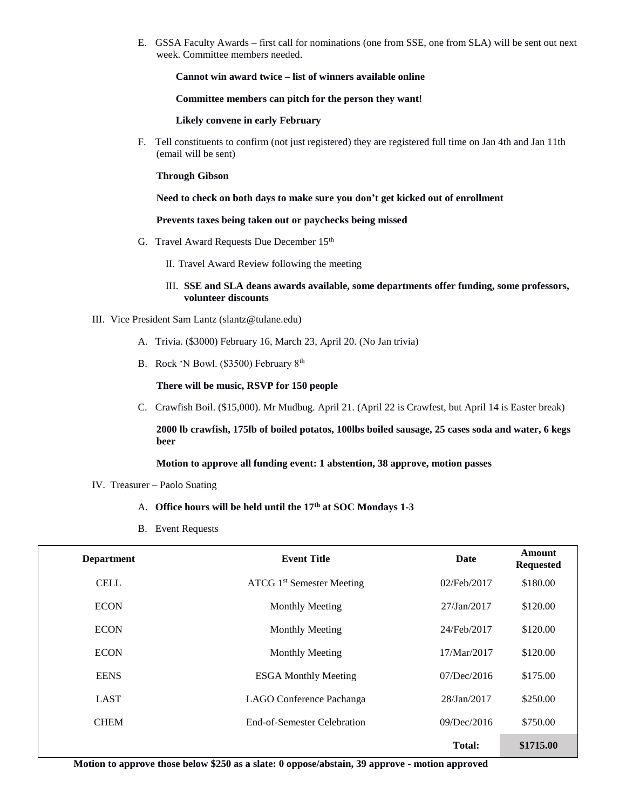E. GSSA Faculty Awards – first call for nominations (one from SSE, one from SLA) will be sent out next week. Committee members needed.

## **Cannot win award twice – list of winners available online**

**Committee members can pitch for the person they want!**

### **Likely convene in early February**

F. Tell constituents to confirm (not just registered) they are registered full time on Jan 4th and Jan 11th (email will be sent)

## **Through Gibson**

#### **Need to check on both days to make sure you don't get kicked out of enrollment**

#### **Prevents taxes being taken out or paychecks being missed**

- G. Travel Award Requests Due December 15<sup>th</sup>
	- II. Travel Award Review following the meeting
	- III. **SSE and SLA deans awards available, some departments offer funding, some professors, volunteer discounts**
- III. Vice President Sam Lantz (slantz@tulane.edu)
	- A. Trivia. (\$3000) February 16, March 23, April 20. (No Jan trivia)
	- B. Rock 'N Bowl. (\$3500) February 8th

#### **There will be music, RSVP for 150 people**

C. Crawfish Boil. (\$15,000). Mr Mudbug. April 21. (April 22 is Crawfest, but April 14 is Easter break)

**2000 lb crawfish, 175lb of boiled potatos, 100lbs boiled sausage, 25 cases soda and water, 6 kegs beer**

## **Motion to approve all funding event: 1 abstention, 38 approve, motion passes**

#### IV. Treasurer – Paolo Suating

- A. **Office hours will be held until the 17th at SOC Mondays 1-3**
- B. Event Requests

| <b>Department</b> | <b>Event Title</b>                         | Date           | <b>Amount</b><br><b>Requested</b> |
|-------------------|--------------------------------------------|----------------|-----------------------------------|
| <b>CELL</b>       | ATCG 1 <sup>st</sup> Semester Meeting      | 02/Feb/2017    | \$180.00                          |
| <b>ECON</b>       | <b>Monthly Meeting</b>                     | $27$ /Jan/2017 | \$120.00                          |
| <b>ECON</b>       | <b>Monthly Meeting</b>                     | 24/Feb/2017    | \$120.00                          |
| <b>ECON</b>       | <b>Monthly Meeting</b>                     | 17/Mar/2017    | \$120.00                          |
| <b>EENS</b>       | <b>ESGA Monthly Meeting</b>                | 07/Dec/2016    | \$175.00                          |
| <b>LAST</b>       | LAGO Conference Pachanga                   | 28/Jan/2017    | \$250.00                          |
| <b>CHEM</b>       | End-of-Semester Celebration<br>09/Dec/2016 |                | \$750.00                          |
|                   |                                            | <b>Total:</b>  | \$1715.00                         |

**Motion to approve those below \$250 as a slate: 0 oppose/abstain, 39 approve - motion approved**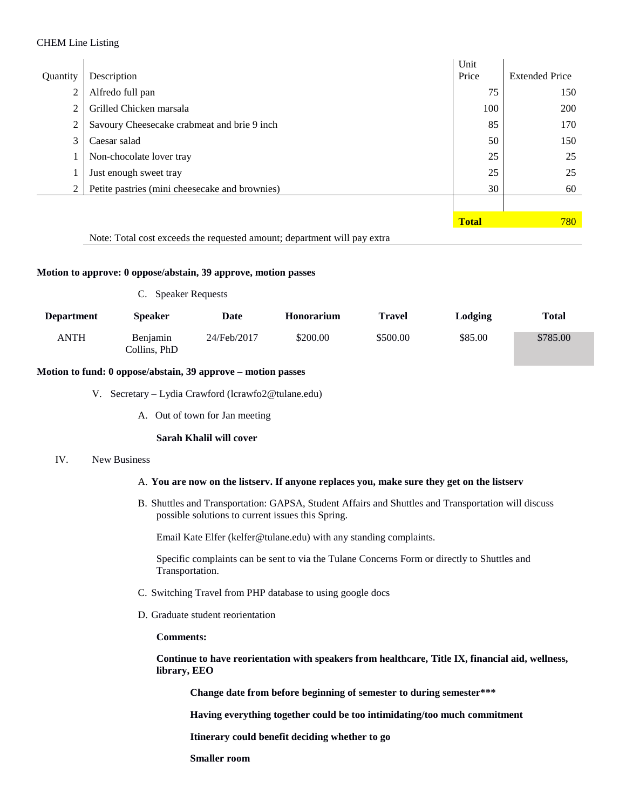# CHEM Line Listing

|                |                                                                          | Unit         |                       |
|----------------|--------------------------------------------------------------------------|--------------|-----------------------|
| Quantity       | Description                                                              | Price        | <b>Extended Price</b> |
| $\overline{c}$ | Alfredo full pan                                                         | 75           | 150                   |
| 2              | Grilled Chicken marsala                                                  | 100          | <b>200</b>            |
| 2              | Savoury Cheesecake crabmeat and brie 9 inch                              | 85           | 170                   |
| 3              | Caesar salad                                                             | 50           | 150                   |
| $\bf{I}$       | Non-chocolate lover tray                                                 | 25           | 25                    |
|                | Just enough sweet tray                                                   |              | 25                    |
| 2              | Petite pastries (mini cheesecake and brownies)                           | 30           | 60                    |
|                |                                                                          |              |                       |
|                |                                                                          | <b>Total</b> | 780                   |
|                | Note: Total cost exceeds the requested amount; department will pay extra |              |                       |

# **Motion to approve: 0 oppose/abstain, 39 approve, motion passes**

|                   | C. Speaker Requests             |             |            |          |         |          |  |  |
|-------------------|---------------------------------|-------------|------------|----------|---------|----------|--|--|
| <b>Department</b> | <b>Speaker</b>                  | Date        | Honorarium | Travel   | Lodging | Total    |  |  |
| ANTH              | <b>Benjamin</b><br>Collins, PhD | 24/Feb/2017 | \$200.00   | \$500.00 | \$85.00 | \$785.00 |  |  |

# **Motion to fund: 0 oppose/abstain, 39 approve – motion passes**

- V. Secretary Lydia Crawford (lcrawfo2@tulane.edu)
	- A. Out of town for Jan meeting

# **Sarah Khalil will cover**

## IV. New Business

## A. **You are now on the listserv. If anyone replaces you, make sure they get on the listserv**

B. Shuttles and Transportation: GAPSA, Student Affairs and Shuttles and Transportation will discuss possible solutions to current issues this Spring.

Email Kate Elfer (kelfer@tulane.edu) with any standing complaints.

Specific complaints can be sent to via the Tulane Concerns Form or directly to Shuttles and Transportation.

- C. Switching Travel from PHP database to using google docs
- D. Graduate student reorientation

# **Comments:**

**Continue to have reorientation with speakers from healthcare, Title IX, financial aid, wellness, library, EEO**

**Change date from before beginning of semester to during semester\*\*\***

**Having everything together could be too intimidating/too much commitment**

**Itinerary could benefit deciding whether to go**

**Smaller room**